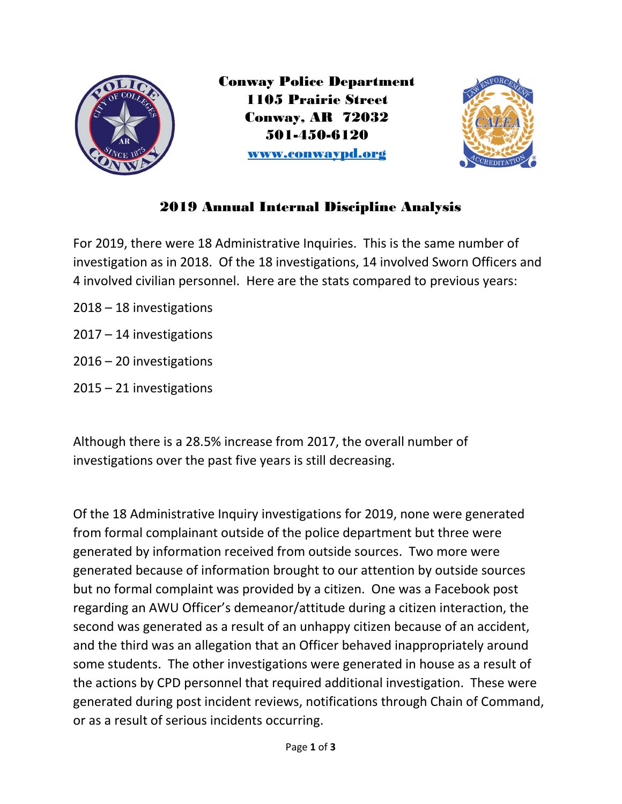

Conway Police Department 1105 Prairie Street Conway, AR 72032 501-450-6120 www.conwaypd.org



## 2019 Annual Internal Discipline Analysis

For 2019, there were 18 Administrative Inquiries. This is the same number of investigation as in 2018. Of the 18 investigations, 14 involved Sworn Officers and 4 involved civilian personnel. Here are the stats compared to previous years:

- 2018 18 investigations
- 2017 14 investigations
- 2016 20 investigations
- 2015 21 investigations

Although there is a 28.5% increase from 2017, the overall number of investigations over the past five years is still decreasing.

Of the 18 Administrative Inquiry investigations for 2019, none were generated from formal complainant outside of the police department but three were generated by information received from outside sources. Two more were generated because of information brought to our attention by outside sources but no formal complaint was provided by a citizen. One was a Facebook post regarding an AWU Officer's demeanor/attitude during a citizen interaction, the second was generated as a result of an unhappy citizen because of an accident, and the third was an allegation that an Officer behaved inappropriately around some students. The other investigations were generated in house as a result of the actions by CPD personnel that required additional investigation. These were generated during post incident reviews, notifications through Chain of Command, or as a result of serious incidents occurring.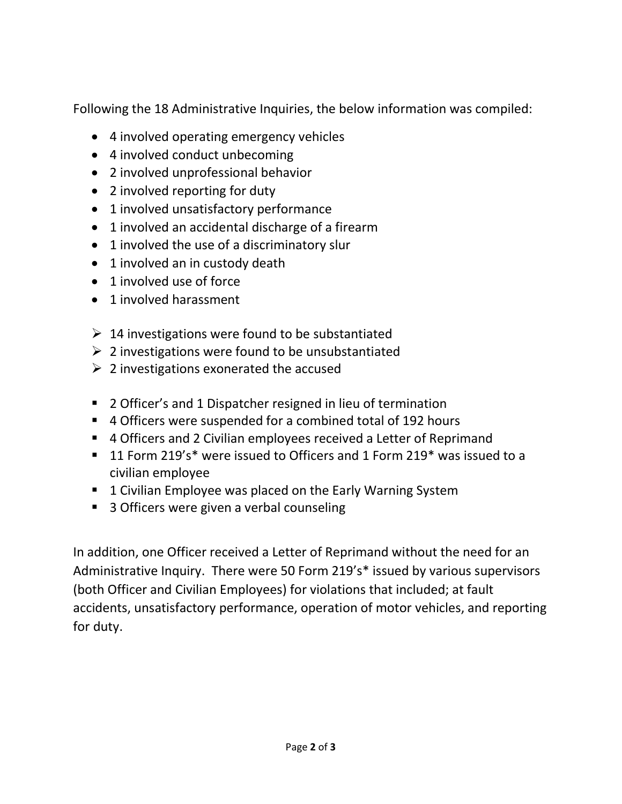Following the 18 Administrative Inquiries, the below information was compiled:

- 4 involved operating emergency vehicles
- 4 involved conduct unbecoming
- 2 involved unprofessional behavior
- 2 involved reporting for duty
- 1 involved unsatisfactory performance
- 1 involved an accidental discharge of a firearm
- 1 involved the use of a discriminatory slur
- 1 involved an in custody death
- 1 involved use of force
- 1 involved harassment
- $\geq 14$  investigations were found to be substantiated
- $\geq 2$  investigations were found to be unsubstantiated
- $\geq 2$  investigations exonerated the accused
- 2 Officer's and 1 Dispatcher resigned in lieu of termination
- 4 Officers were suspended for a combined total of 192 hours
- 4 Officers and 2 Civilian employees received a Letter of Reprimand
- 11 Form 219's\* were issued to Officers and 1 Form 219\* was issued to a civilian employee
- 1 Civilian Employee was placed on the Early Warning System
- 3 Officers were given a verbal counseling

In addition, one Officer received a Letter of Reprimand without the need for an Administrative Inquiry. There were 50 Form 219's\* issued by various supervisors (both Officer and Civilian Employees) for violations that included; at fault accidents, unsatisfactory performance, operation of motor vehicles, and reporting for duty.